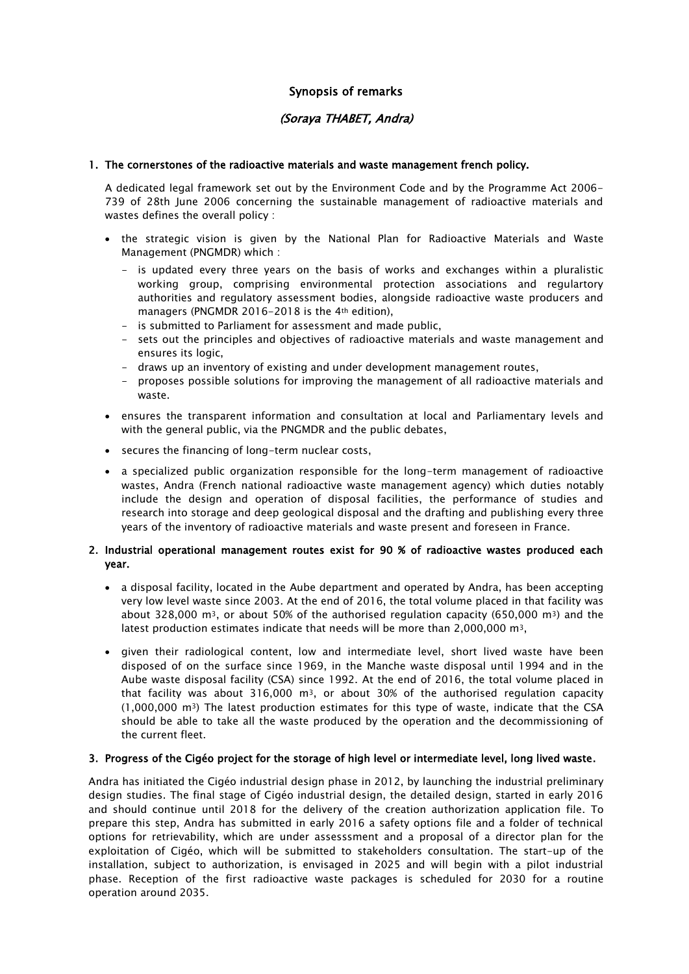# Synopsis of remarks

# (Soraya THABET, Andra)

### 1. The cornerstones of the radioactive materials and waste management french policy.

A dedicated legal framework set out by the Environment Code and by the Programme Act 2006- 739 of 28th June 2006 concerning the sustainable management of radioactive materials and wastes defines the overall policy :

- the strategic vision is given by the National Plan for Radioactive Materials and Waste Management (PNGMDR) which :
	- is updated every three years on the basis of works and exchanges within a pluralistic working group, comprising environmental protection associations and regulartory authorities and regulatory assessment bodies, alongside radioactive waste producers and managers (PNGMDR 2016-2018 is the 4th edition),
	- is submitted to Parliament for assessment and made public,
	- sets out the principles and objectives of radioactive materials and waste management and ensures its logic,
	- draws up an inventory of existing and under development management routes,
	- proposes possible solutions for improving the management of all radioactive materials and waste.
- ensures the transparent information and consultation at local and Parliamentary levels and with the general public, via the PNGMDR and the public debates,
- secures the financing of long-term nuclear costs,
- a specialized public organization responsible for the long-term management of radioactive wastes, Andra (French national radioactive waste management agency) which duties notably include the design and operation of disposal facilities, the performance of studies and research into storage and deep geological disposal and the drafting and publishing every three years of the inventory of radioactive materials and waste present and foreseen in France.

### 2. Industrial operational management routes exist for 90 % of radioactive wastes produced each year.

- a disposal facility, located in the Aube department and operated by Andra, has been accepting very low level waste since 2003. At the end of 2016, the total volume placed in that facility was about 328,000 m<sup>3</sup>, or about 50% of the authorised regulation capacity (650,000 m<sup>3</sup>) and the latest production estimates indicate that needs will be more than 2,000,000 m3,
- given their radiological content, low and intermediate level, short lived waste have been disposed of on the surface since 1969, in the Manche waste disposal until 1994 and in the Aube waste disposal facility (CSA) since 1992. At the end of 2016, the total volume placed in that facility was about 316,000  $m^3$ , or about 30% of the authorised regulation capacity (1,000,000 m3) The latest production estimates for this type of waste, indicate that the CSA should be able to take all the waste produced by the operation and the decommissioning of the current fleet.

#### 3. Progress of the Cigéo project for the storage of high level or intermediate level, long lived waste.

Andra has initiated the Cigéo industrial design phase in 2012, by launching the industrial preliminary design studies. The final stage of Cigéo industrial design, the detailed design, started in early 2016 and should continue until 2018 for the delivery of the creation authorization application file. To prepare this step, Andra has submitted in early 2016 a safety options file and a folder of technical options for retrievability, which are under assesssment and a proposal of a director plan for the exploitation of Cigéo, which will be submitted to stakeholders consultation. The start-up of the installation, subject to authorization, is envisaged in 2025 and will begin with a pilot industrial phase. Reception of the first radioactive waste packages is scheduled for 2030 for a routine operation around 2035.